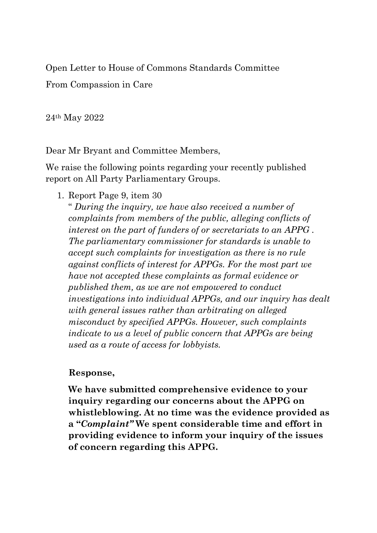Open Letter to House of Commons Standards Committee

From Compassion in Care

24th May 2022

Dear Mr Bryant and Committee Members,

We raise the following points regarding your recently published report on All Party Parliamentary Groups.

1. Report Page 9, item 30

" *During the inquiry, we have also received a number of complaints from members of the public, alleging conflicts of interest on the part of funders of or secretariats to an APPG . The parliamentary commissioner for standards is unable to accept such complaints for investigation as there is no rule against conflicts of interest for APPGs. For the most part we have not accepted these complaints as formal evidence or published them, as we are not empowered to conduct investigations into individual APPGs, and our inquiry has dealt with general issues rather than arbitrating on alleged misconduct by specified APPGs. However, such complaints indicate to us a level of public concern that APPGs are being used as a route of access for lobbyists.*

## **Response,**

**We have submitted comprehensive evidence to your inquiry regarding our concerns about the APPG on whistleblowing. At no time was the evidence provided as a "***Complaint"* **We spent considerable time and effort in providing evidence to inform your inquiry of the issues of concern regarding this APPG.**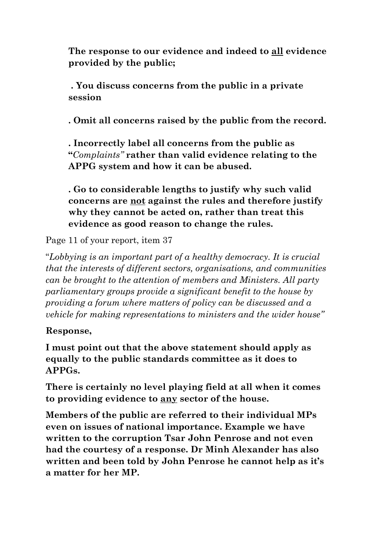**The response to our evidence and indeed to all evidence provided by the public;**

**. You discuss concerns from the public in a private session** 

**. Omit all concerns raised by the public from the record.**

**. Incorrectly label all concerns from the public as "***Complaints"* **rather than valid evidence relating to the APPG system and how it can be abused.**

**. Go to considerable lengths to justify why such valid concerns are not against the rules and therefore justify why they cannot be acted on, rather than treat this evidence as good reason to change the rules.**

Page 11 of your report, item 37

"*Lobbying is an important part of a healthy democracy. It is crucial that the interests of different sectors, organisations, and communities can be brought to the attention of members and Ministers. All party parliamentary groups provide a significant benefit to the house by providing a forum where matters of policy can be discussed and a vehicle for making representations to ministers and the wider house"* 

## **Response,**

**I must point out that the above statement should apply as equally to the public standards committee as it does to APPGs.** 

**There is certainly no level playing field at all when it comes to providing evidence to any sector of the house.**

**Members of the public are referred to their individual MPs even on issues of national importance. Example we have written to the corruption Tsar John Penrose and not even had the courtesy of a response. Dr Minh Alexander has also written and been told by John Penrose he cannot help as it's a matter for her MP.**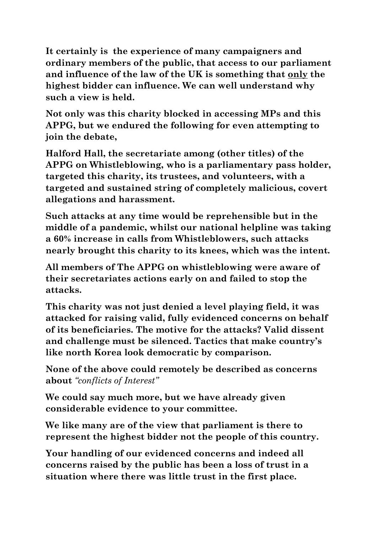**It certainly is the experience of many campaigners and ordinary members of the public, that access to our parliament and influence of the law of the UK is something that only the highest bidder can influence. We can well understand why such a view is held.**

**Not only was this charity blocked in accessing MPs and this APPG, but we endured the following for even attempting to join the debate,**

**Halford Hall, the secretariate among (other titles) of the APPG on Whistleblowing, who is a parliamentary pass holder, targeted this charity, its trustees, and volunteers, with a targeted and sustained string of completely malicious, covert allegations and harassment.**

**Such attacks at any time would be reprehensible but in the middle of a pandemic, whilst our national helpline was taking a 60% increase in calls from Whistleblowers, such attacks nearly brought this charity to its knees, which was the intent.**

**All members of The APPG on whistleblowing were aware of their secretariates actions early on and failed to stop the attacks.** 

**This charity was not just denied a level playing field, it was attacked for raising valid, fully evidenced concerns on behalf of its beneficiaries. The motive for the attacks? Valid dissent and challenge must be silenced. Tactics that make country's like north Korea look democratic by comparison.** 

**None of the above could remotely be described as concerns about** *"conflicts of Interest"* 

**We could say much more, but we have already given considerable evidence to your committee.**

**We like many are of the view that parliament is there to represent the highest bidder not the people of this country.**

**Your handling of our evidenced concerns and indeed all concerns raised by the public has been a loss of trust in a situation where there was little trust in the first place.**